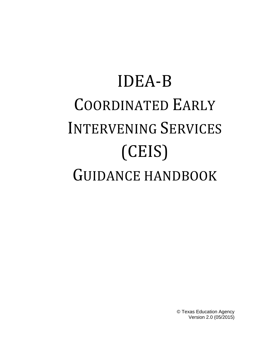# IDEA-B COORDINATED EARLY INTERVENING SERVICES (CEIS) GUIDANCE HANDBOOK

© Texas Education Agency Version 2.0 (05/2015)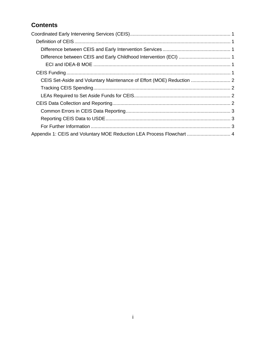# **Contents**

| Appendix 1: CEIS and Voluntary MOE Reduction LEA Process Flowchart  4 |  |
|-----------------------------------------------------------------------|--|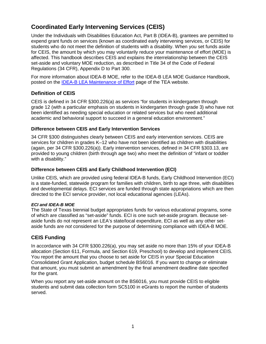## <span id="page-2-0"></span>**Coordinated Early Intervening Services (CEIS)**

Under the Individuals with Disabilities Education Act, Part B (IDEA-B), grantees are permitted to expend grant funds on services (known as coordinated early intervening services, or CEIS) for students who do not meet the definition of students with a disability. When you set funds aside for CEIS, the amount by which you may voluntarily reduce your maintenance of effort (MOE) is affected. This handbook describes CEIS and explains the interrelationship between the CEIS set-aside and voluntary MOE reduction, as described in Title 34 of the Code of Federal Regulations (34 CFR), Appendix D to Part 300.

For more information about IDEA-B MOE, refer to the IDEA-B LEA MOE Guidance Handbook, posted on the [IDEA-B LEA Maintenance of Effort](http://tea.texas.gov/WorkArea/linkit.aspx?ItemID=25769803812) page of the TEA website.

## <span id="page-2-1"></span>**Definition of CEIS**

CEIS is defined in 34 CFR §300.226(a) as services "for students in kindergarten through grade 12 (with a particular emphasis on students in kindergarten through grade 3) who have not been identified as needing special education or related services but who need additional academic and behavioral support to succeed in a general education environment."

#### <span id="page-2-2"></span>**Difference between CEIS and Early Intervention Services**

34 CFR §300 distinguishes clearly between CEIS and early intervention services. CEIS are services for children in grades K–12 who have not been identified as children with disabilities (again, per 34 CFR §300.226(a)). Early intervention services, defined in 34 CFR §303.13, are provided to young children (birth through age two) who meet the definition of "infant or toddler with a disability."

#### <span id="page-2-3"></span>**Difference between CEIS and Early Childhood Intervention (ECI)**

Unlike CEIS, which are provided using federal IDEA-B funds, Early Childhood Intervention (ECI) is a state-funded, statewide program for families with children, birth to age three, with disabilities and developmental delays. ECI services are funded through state appropriations which are then directed to the ECI service provider, not local educational agencies (LEAs).

#### <span id="page-2-4"></span>*ECI and IDEA-B MOE*

The State of Texas biennial budget appropriates funds for various educational programs, some of which are classified as "set-aside" funds. ECI is one such set-aside program. Because setaside funds do not represent an LEA's state/local expenditure, ECI as well as any other setaside funds are *not* considered for the purpose of determining compliance with IDEA-B MOE.

### <span id="page-2-5"></span>**CEIS Funding**

In accordance with 34 CFR §300.226(a), you may set aside no more than 15% of your IDEA-B allocation (Section 611, Formula, and Section 619, Preschool) to develop and implement CEIS. You report the amount that you choose to set aside for CEIS in your Special Education Consolidated Grant Application, budget schedule BS6016. If you want to change or eliminate that amount, you must submit an amendment by the final amendment deadline date specified for the grant.

When you report any set-aside amount on the BS6016, you must provide CEIS to eligible students and submit data collection form SC5100 in eGrants to report the number of students served.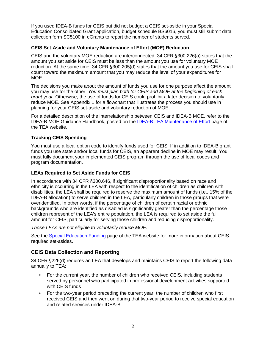If you used IDEA-B funds for CEIS but did not budget a CEIS set-aside in your Special Education Consolidated Grant application, budget schedule BS6016, you must still submit data collection form SC5100 in eGrants to report the number of students served.

#### <span id="page-3-0"></span>**CEIS Set-Aside and Voluntary Maintenance of Effort (MOE) Reduction**

CEIS and the voluntary MOE reduction are interconnected. 34 CFR §300.226(a) states that the amount you set aside for CEIS must be less than the amount you use for voluntary MOE reduction. At the same time, 34 CFR §300.205(d) states that the amount you use for CEIS shall count toward the maximum amount that you may reduce the level of your expenditures for MOE.

The decisions you make about the amount of funds you use for one purpose affect the amount you may use for the other. *You must plan both for CEIS and MOE at the beginning of each grant year.* Otherwise, the use of funds for CEIS could prohibit a later decision to voluntarily reduce MOE. See Appendix 1 for a flowchart that illustrates the process you should use in planning for your CEIS set-aside and voluntary reduction of MOE.

For a detailed description of the interrelationship between CEIS and IDEA-B MOE, refer to the IDEA-B MOE Guidance Handbook, posted on the [IDEA-B LEA Maintenance of Effort](http://tea.texas.gov/WorkArea/linkit.aspx?ItemID=25769803812) page of the TEA website.

#### <span id="page-3-1"></span>**Tracking CEIS Spending**

You must use a local option code to identify funds used for CEIS. If in addition to IDEA-B grant funds you use state and/or local funds for CEIS, an apparent decline in MOE may result. You must fully document your implemented CEIS program through the use of local codes and program documentation.

#### <span id="page-3-2"></span>**LEAs Required to Set Aside Funds for CEIS**

In accordance with 34 CFR §300.646, if significant disproportionality based on race and ethnicity is occurring in the LEA with respect to the identification of children as children with disabilities, the LEA shall be required to reserve the maximum amount of funds (i.e., 15% of the IDEA-B allocation) to serve children in the LEA, particularly children in those groups that were overidentified. In other words, if the percentage of children of certain racial or ethnic backgrounds who are identified as disabled is significantly greater than the percentage those children represent of the LEA's entire population, the LEA is required to set aside the full amount for CEIS, particularly for serving those children and reducing disproportionality.

#### *Those LEAs are not eligible to voluntarily reduce MOE.*

See the [Special Education Funding](http://tea.texas.gov/Curriculum_and_Instructional_Programs/Special_Education/Programs_and_Services/Special_Education_Funding/Special_Education_Funding/) page of the TEA website for more information about CEIS required set-asides.

#### <span id="page-3-3"></span>**CEIS Data Collection and Reporting**

34 CFR §226(d) requires an LEA that develops and maintains CEIS to report the following data annually to TEA:

- For the current year, the number of children who received CEIS, including students served by personnel who participated in professional development activities supported with CEIS funds
- For the two-year period preceding the current year, the number of children who first received CEIS and then went on during that two-year period to receive special education and related services under IDEA-B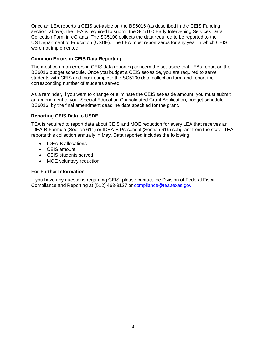Once an LEA reports a CEIS set-aside on the BS6016 (as described in the CEIS Funding section, above), the LEA is required to submit the SC5100 Early Intervening Services Data Collection Form in eGrants. The SC5100 collects the data required to be reported to the US Department of Education (USDE). The LEA must report zeros for any year in which CEIS were not implemented.

#### <span id="page-4-0"></span>**Common Errors in CEIS Data Reporting**

The most common errors in CEIS data reporting concern the set-aside that LEAs report on the BS6016 budget schedule. Once you budget a CEIS set-aside, you are required to serve students with CEIS and must complete the SC5100 data collection form and report the corresponding number of students served.

As a reminder, if you want to change or eliminate the CEIS set-aside amount, you must submit an amendment to your Special Education Consolidated Grant Application, budget schedule BS6016, by the final amendment deadline date specified for the grant.

#### <span id="page-4-1"></span>**Reporting CEIS Data to USDE**

TEA is required to report data about CEIS and MOE reduction for every LEA that receives an IDEA-B Formula (Section 611) or IDEA-B Preschool (Section 619) subgrant from the state. TEA reports this collection annually in May. Data reported includes the following:

- **IDEA-B allocations**
- CEIS amount
- CEIS students served
- MOE voluntary reduction

#### <span id="page-4-2"></span>**For Further Information**

If you have any questions regarding CEIS, please contact the Division of Federal Fiscal Compliance and Reporting at (512) 463-9127 or [compliance@tea.texas.gov.](mailto:compliance@tea.texas.gov)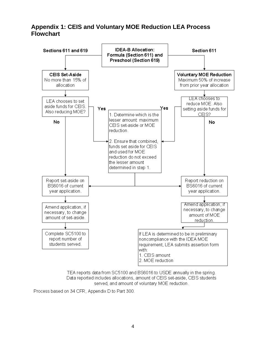## <span id="page-5-0"></span>**Appendix 1: CEIS and Voluntary MOE Reduction LEA Process Flowchart**



TEA reports data from SC5100 and BS6016 to USDE annually in the spring. Data reported includes allocations, amount of CEIS set-aside, CEIS students served, and amount of voluntary MOE reduction.

Process based on 34 CFR, Appendix D to Part 300.